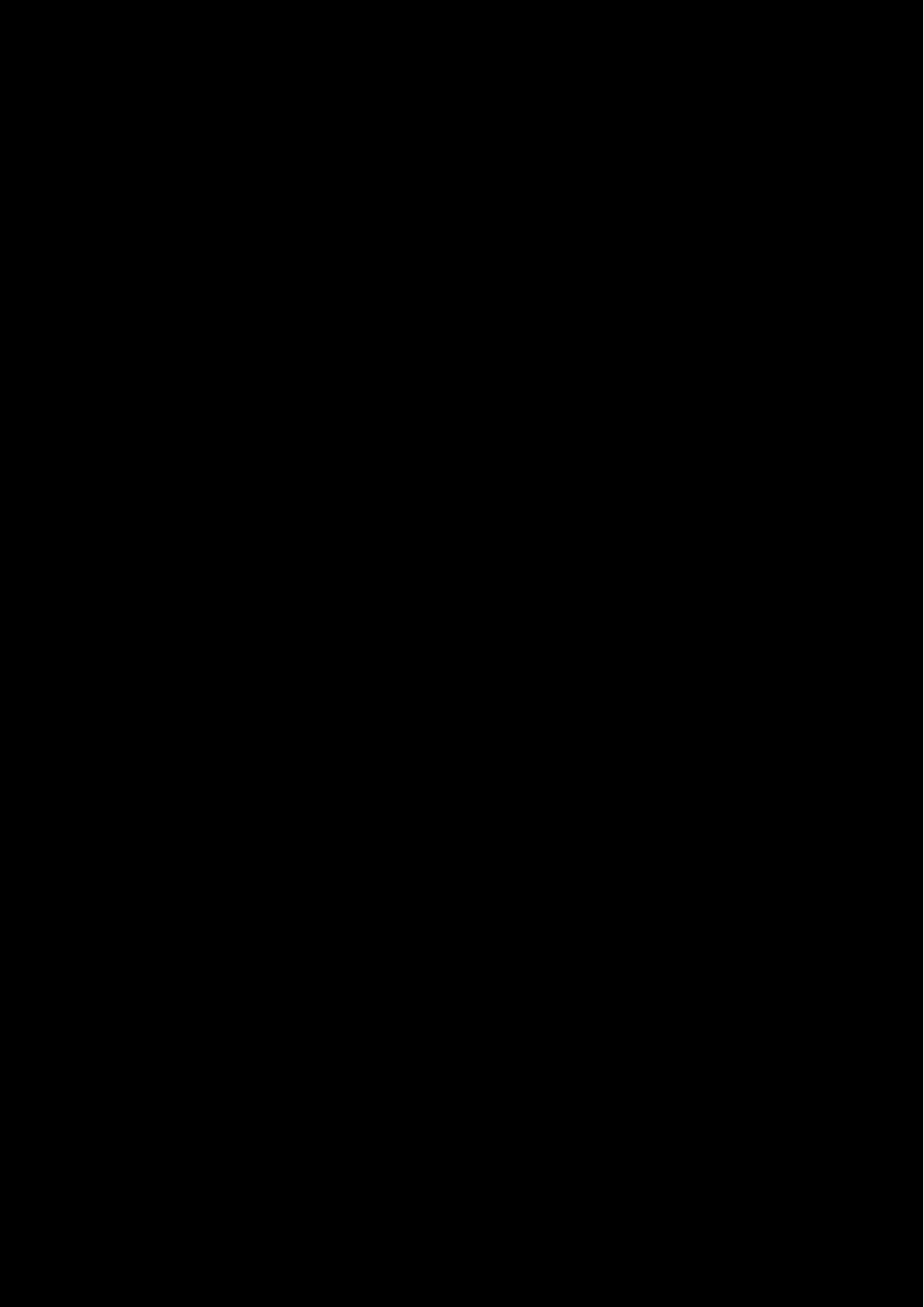# **!"#\$%&'()\*+,&-./ 0#1.#&2**

# **34#"-. 3/2/5\$/#6 7877**

**93:9(;<:!)=3:>?**

! ""#\$%&'()\*%+), \*#-), .'/-..%0%1'23#, '4)#5%+3#\*6  $(-)^*,$  \$\*'7%+3-)&'8#), '/9, )0 :  $; <$  , #.&\*#), =>?@ABC, 3#, D%EFD\*G 2EE+%33&'H??1'I#-F"%)0'JED1'KF"%)01'8,#\$9F)0 >ALH>1'8,#G,)' K%M3#\*%& 9\*\*N3&OO\$#D,3#,D%EFD\*GOM#)O9-<%DN9N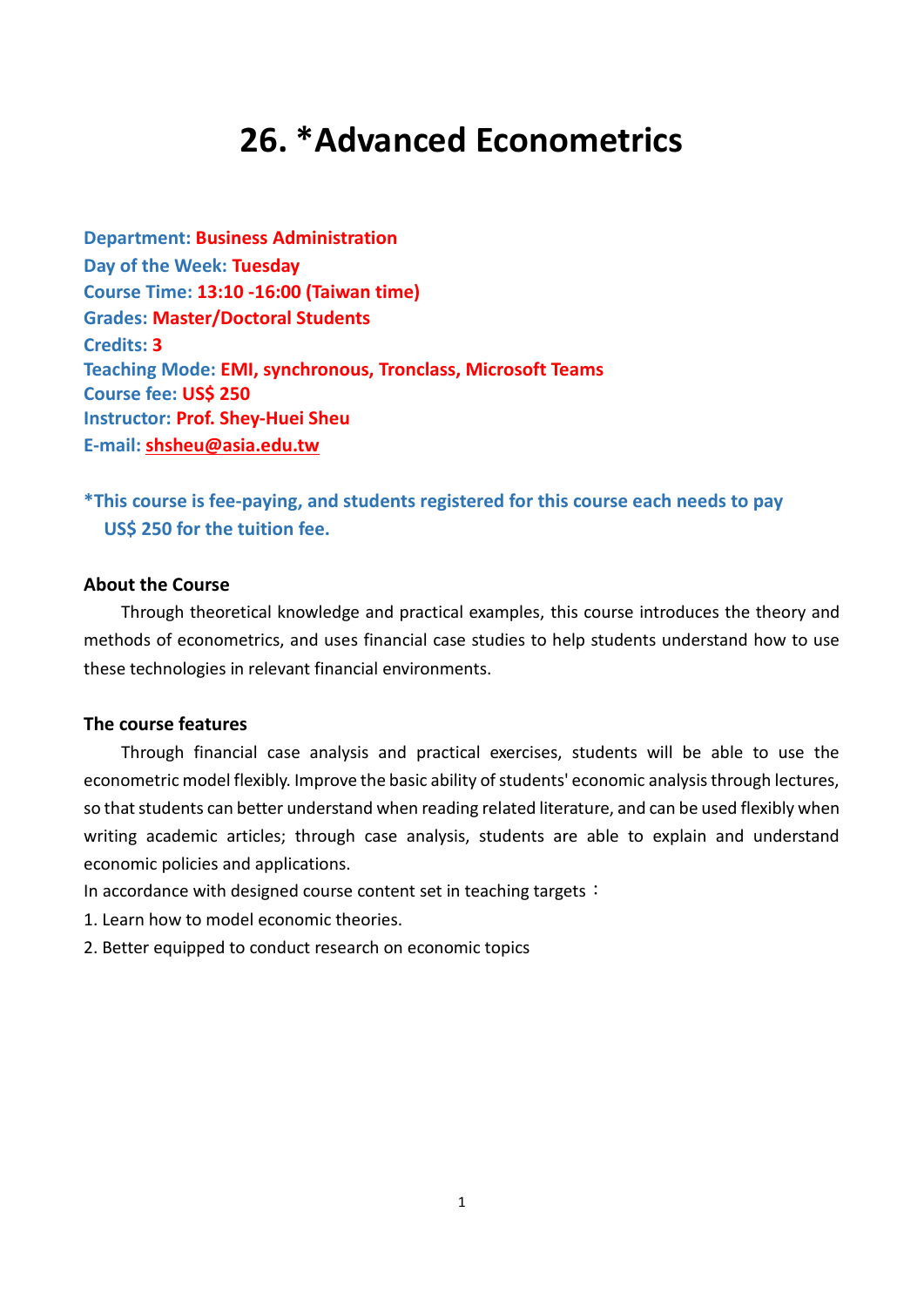# **26. \*Advanced Econometrics**

**Department: Business Administration Day of the Week: Tuesday Course Time: 13:10 -16:00 (Taiwan time) Grades: Master/Doctoral Students Credits: 3 Teaching Mode: EMI, synchronous, Tronclass, Microsoft Teams Course fee: US\$ 250 Instructor: Prof. Shey-Huei Sheu E-mail: shsheu@asia.edu.tw**

**\*This course is fee-paying, and students registered for this course each needs to pay US\$ 250 for the tuition fee.**

#### **About the Course**

Through theoretical knowledge and practical examples, this course introduces the theory and methods of econometrics, and uses financial case studies to help students understand how to use these technologies in relevant financial environments.

#### **The course features**

Through financial case analysis and practical exercises, students will be able to use the econometric model flexibly. Improve the basic ability of students' economic analysis through lectures, so that students can better understand when reading related literature, and can be used flexibly when writing academic articles; through case analysis, students are able to explain and understand economic policies and applications.

In accordance with designed course content set in teaching targets:

- 1. Learn how to model economic theories.
- 2. Better equipped to conduct research on economic topics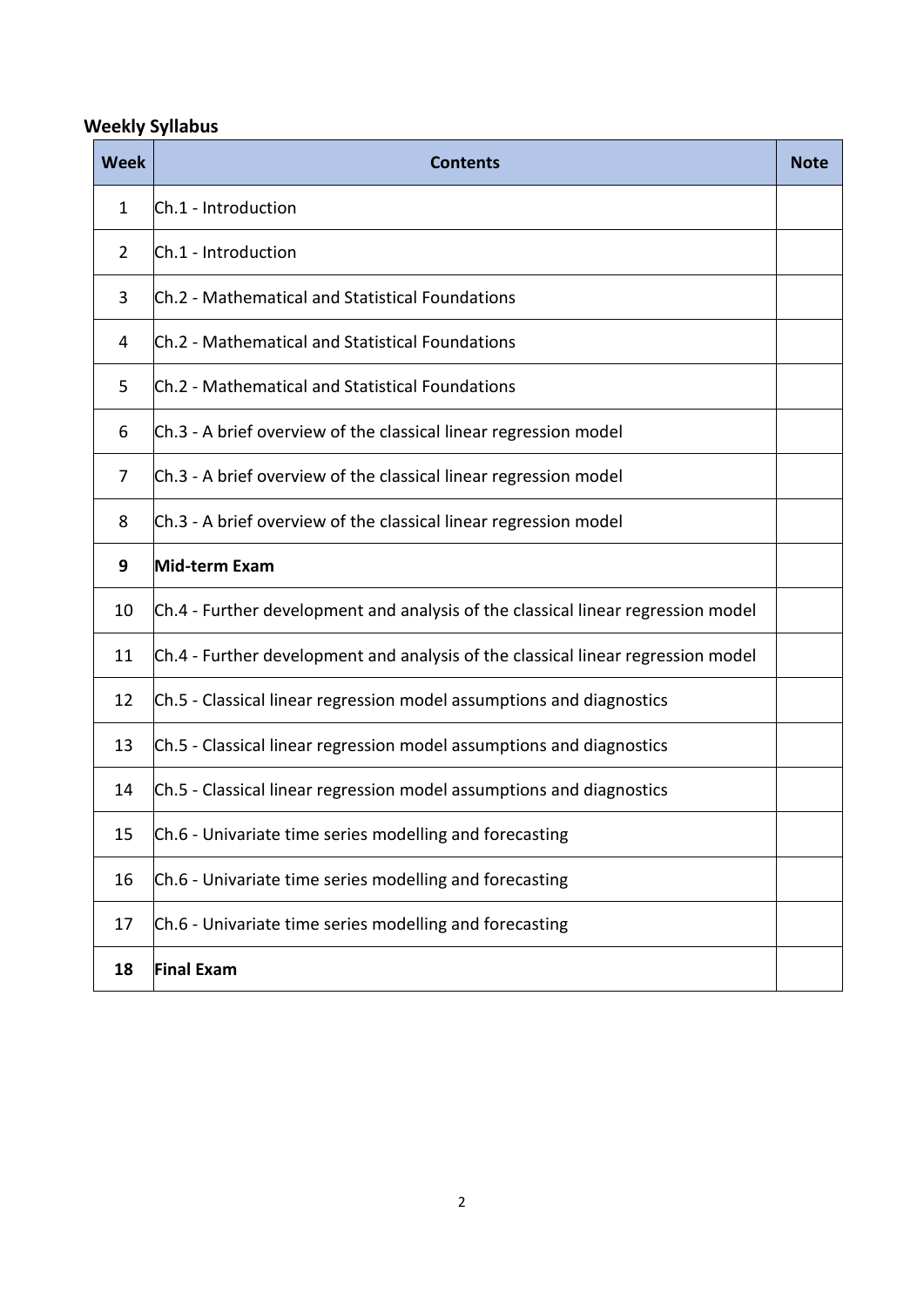## **Weekly Syllabus**

| <b>Week</b>    | <b>Contents</b>                                                                  | <b>Note</b> |
|----------------|----------------------------------------------------------------------------------|-------------|
| 1              | Ch.1 - Introduction                                                              |             |
| $\overline{2}$ | Ch.1 - Introduction                                                              |             |
| 3              | Ch.2 - Mathematical and Statistical Foundations                                  |             |
| 4              | Ch.2 - Mathematical and Statistical Foundations                                  |             |
| 5              | Ch.2 - Mathematical and Statistical Foundations                                  |             |
| 6              | Ch.3 - A brief overview of the classical linear regression model                 |             |
| 7              | Ch.3 - A brief overview of the classical linear regression model                 |             |
| 8              | Ch.3 - A brief overview of the classical linear regression model                 |             |
| 9              | Mid-term Exam                                                                    |             |
| 10             | Ch.4 - Further development and analysis of the classical linear regression model |             |
| 11             | Ch.4 - Further development and analysis of the classical linear regression model |             |
| 12             | Ch.5 - Classical linear regression model assumptions and diagnostics             |             |
| 13             | Ch.5 - Classical linear regression model assumptions and diagnostics             |             |
| 14             | Ch.5 - Classical linear regression model assumptions and diagnostics             |             |
| 15             | Ch.6 - Univariate time series modelling and forecasting                          |             |
| 16             | Ch.6 - Univariate time series modelling and forecasting                          |             |
| 17             | Ch.6 - Univariate time series modelling and forecasting                          |             |
| 18             | <b>Final Exam</b>                                                                |             |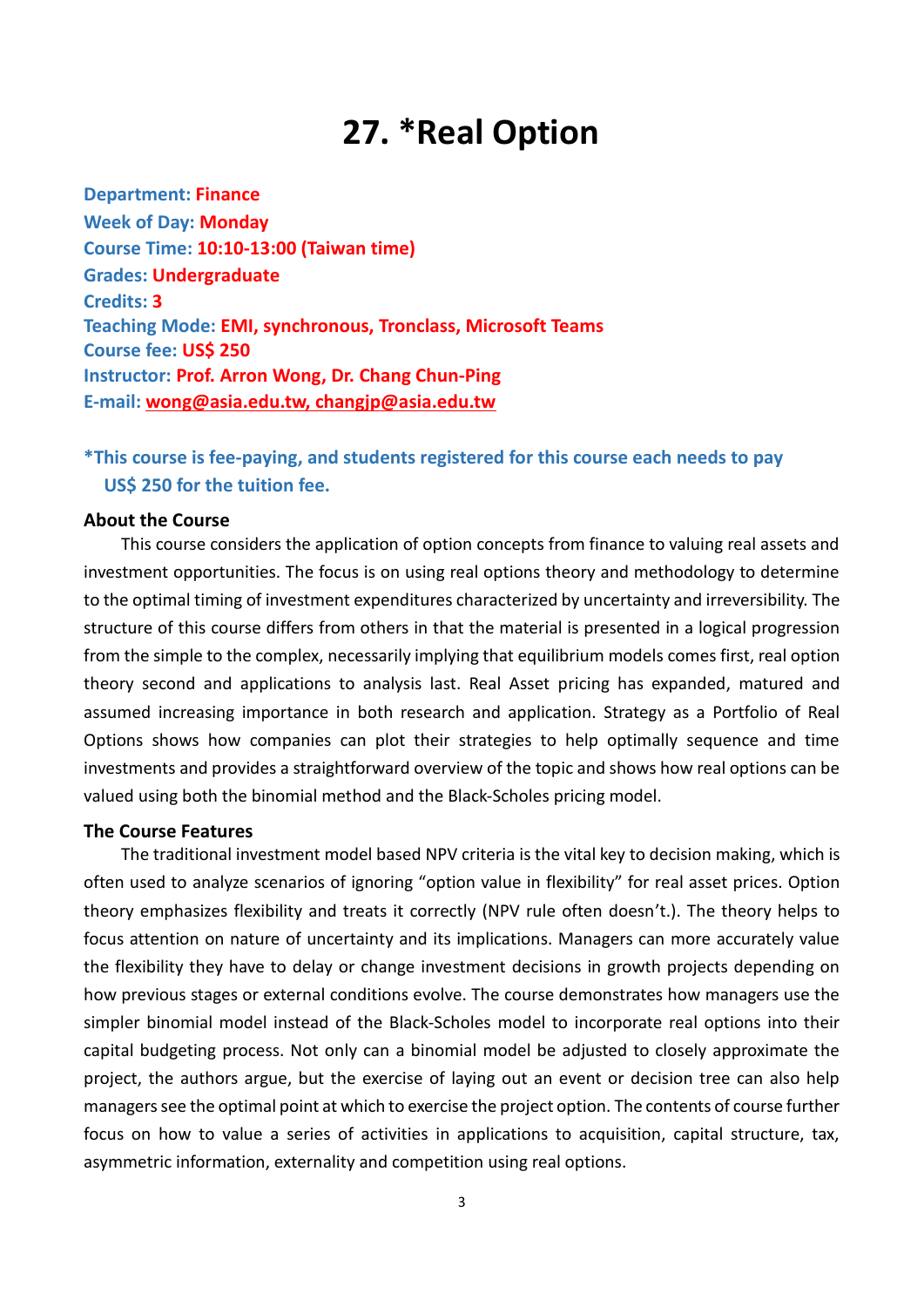## **27. \*Real Option**

**Department: Finance Week of Day: Monday Course Time: 10:10-13:00 (Taiwan time) Grades: Undergraduate Credits: 3 Teaching Mode: EMI, synchronous, Tronclass, Microsoft Teams Course fee: US\$ 250 Instructor: Prof. Arron Wong, Dr. Chang Chun-Ping E-mail: [wong@asia.edu.tw,](mailto:wong@asia.edu.tw) [changjp@asia.edu.tw](mailto:changjp@asia.edu.tw)**

### **\*This course is fee-paying, and students registered for this course each needs to pay US\$ 250 for the tuition fee.**

#### **About the Course**

This course considers the application of option concepts from finance to valuing real assets and investment opportunities. The focus is on using real options theory and methodology to determine to the optimal timing of investment expenditures characterized by uncertainty and irreversibility. The structure of this course differs from others in that the material is presented in a logical progression from the simple to the complex, necessarily implying that equilibrium models comes first, real option theory second and applications to analysis last. Real Asset pricing has expanded, matured and assumed increasing importance in both research and application. Strategy as a Portfolio of Real Options shows how companies can plot their strategies to help optimally sequence and time investments and provides a straightforward overview of the topic and shows how real options can be valued using both the binomial method and the Black-Scholes pricing model.

#### **The Course Features**

The traditional investment model based NPV criteria is the vital key to decision making, which is often used to analyze scenarios of ignoring "option value in flexibility" for real asset prices. Option theory emphasizes flexibility and treats it correctly (NPV rule often doesn't.). The theory helps to focus attention on nature of uncertainty and its implications. Managers can more accurately value the flexibility they have to delay or change investment decisions in growth projects depending on how previous stages or external conditions evolve. The course demonstrates how managers use the simpler binomial model instead of the Black-Scholes model to incorporate real options into their capital budgeting process. Not only can a binomial model be adjusted to closely approximate the project, the authors argue, but the exercise of laying out an event or decision tree can also help managers see the optimal point at which to exercise the project option. The contents of course further focus on how to value a series of activities in applications to acquisition, capital structure, tax, asymmetric information, externality and competition using real options.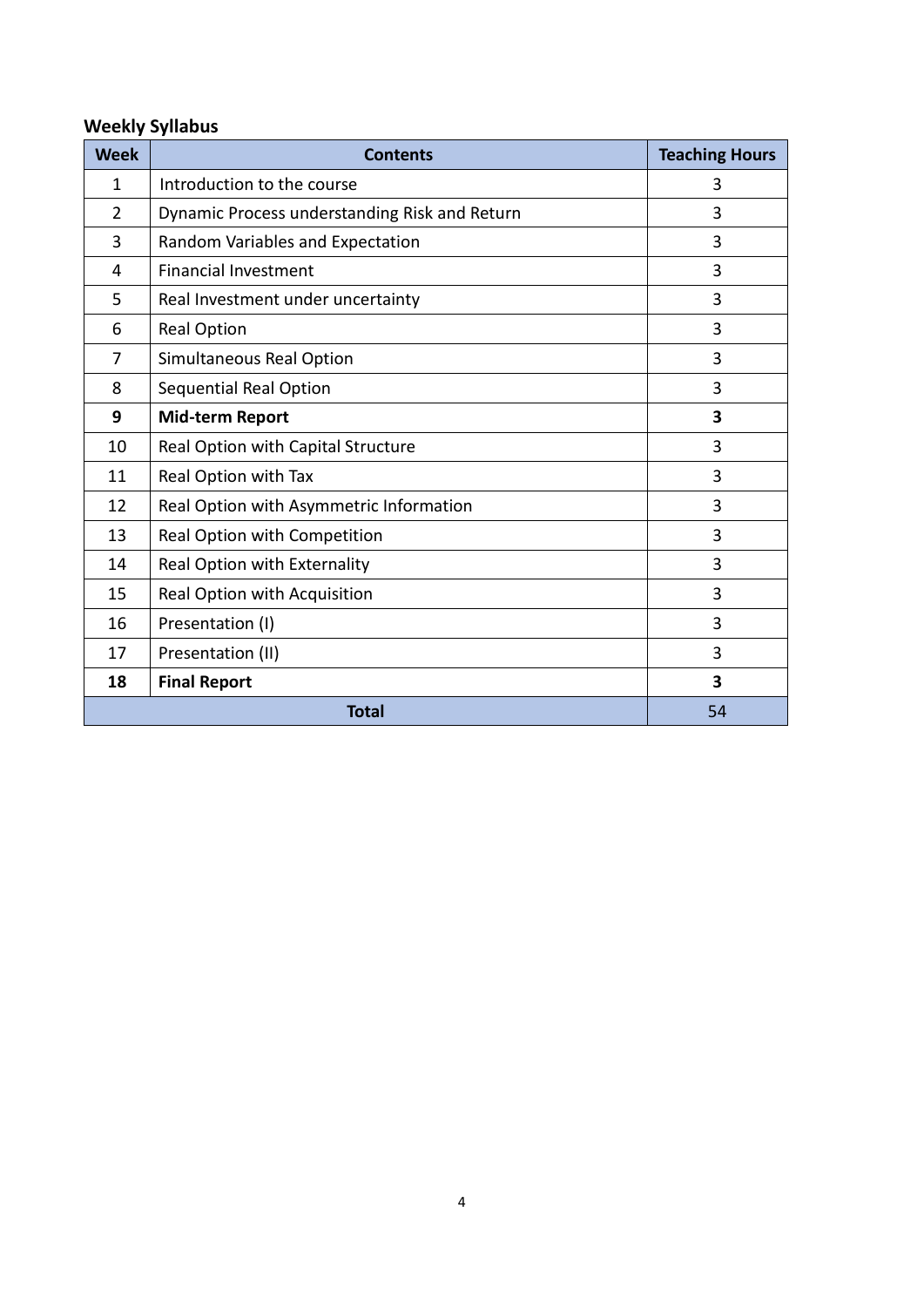## **Weekly Syllabus**

| <b>Week</b>    | <b>Contents</b>                               | <b>Teaching Hours</b> |
|----------------|-----------------------------------------------|-----------------------|
| 1              | Introduction to the course                    | 3                     |
| $\overline{2}$ | Dynamic Process understanding Risk and Return | 3                     |
| 3              | Random Variables and Expectation              | 3                     |
| 4              | <b>Financial Investment</b>                   | 3                     |
| 5              | Real Investment under uncertainty             | 3                     |
| 6              | <b>Real Option</b>                            | 3                     |
| $\overline{7}$ | Simultaneous Real Option                      | 3                     |
| 8              | <b>Sequential Real Option</b>                 | 3                     |
| 9              | <b>Mid-term Report</b>                        | 3                     |
| 10             | Real Option with Capital Structure            | 3                     |
| 11             | Real Option with Tax                          | 3                     |
| 12             | Real Option with Asymmetric Information       | 3                     |
| 13             | Real Option with Competition                  | 3                     |
| 14             | Real Option with Externality                  | 3                     |
| 15             | Real Option with Acquisition                  | 3                     |
| 16             | Presentation (I)                              | 3                     |
| 17             | Presentation (II)                             | 3                     |
| 18             | <b>Final Report</b>                           | 3                     |
|                | 54                                            |                       |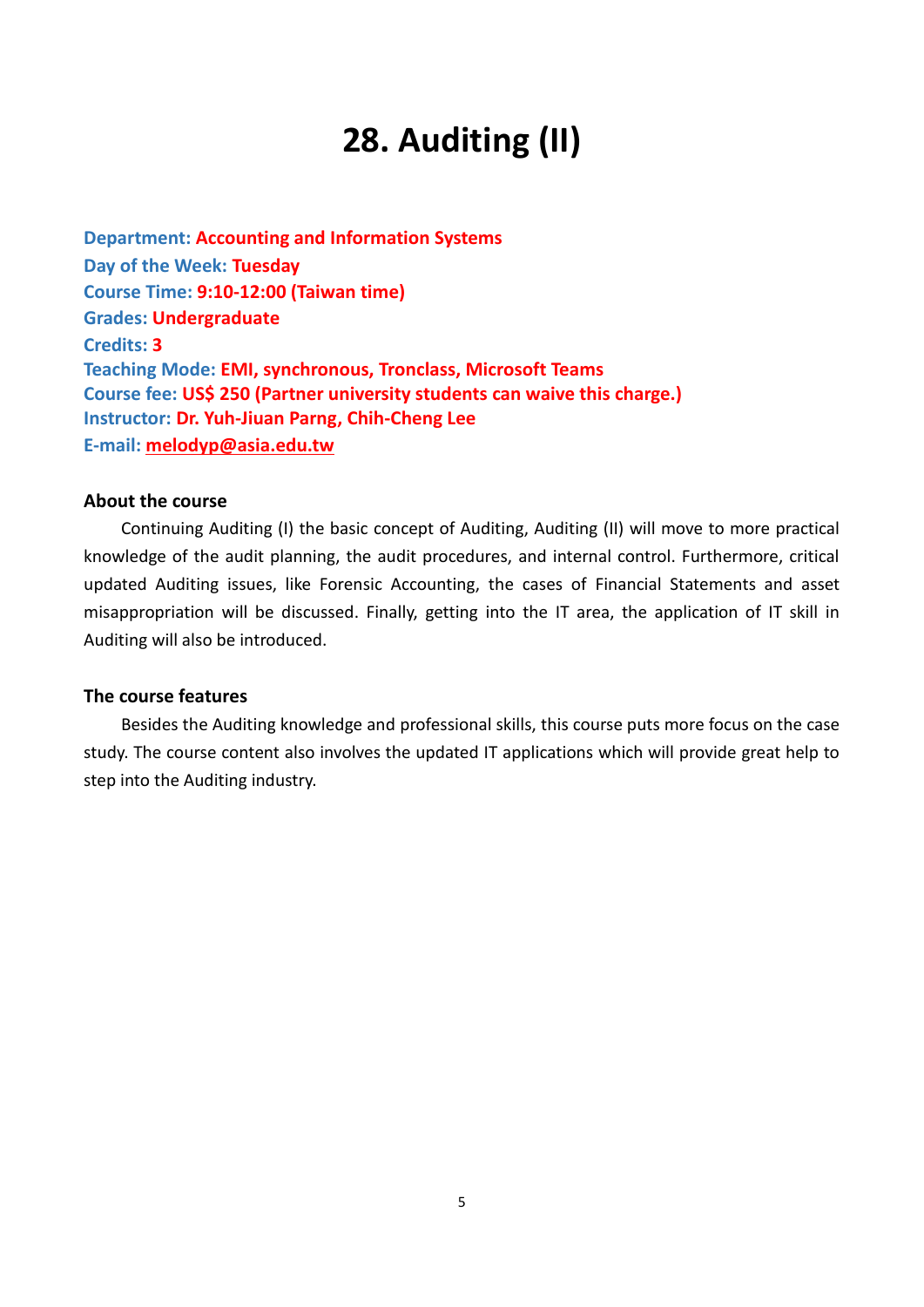# **28. Auditing (II)**

**Department: Accounting and Information Systems Day of the Week: Tuesday Course Time: 9:10-12:00 (Taiwan time) Grades: Undergraduate Credits: 3 Teaching Mode: EMI, synchronous, Tronclass, Microsoft Teams Course fee: US\$ 250 (Partner university students can waive this charge.) Instructor: Dr. Yuh-Jiuan Parng, Chih-Cheng Lee E-mail: melodyp@asia.edu.tw**

#### **About the course**

Continuing Auditing (I) the basic concept of Auditing, Auditing (II) will move to more practical knowledge of the audit planning, the audit procedures, and internal control. Furthermore, critical updated Auditing issues, like Forensic Accounting, the cases of Financial Statements and asset misappropriation will be discussed. Finally, getting into the IT area, the application of IT skill in Auditing will also be introduced.

#### **The course features**

Besides the Auditing knowledge and professional skills, this course puts more focus on the case study. The course content also involves the updated IT applications which will provide great help to step into the Auditing industry.